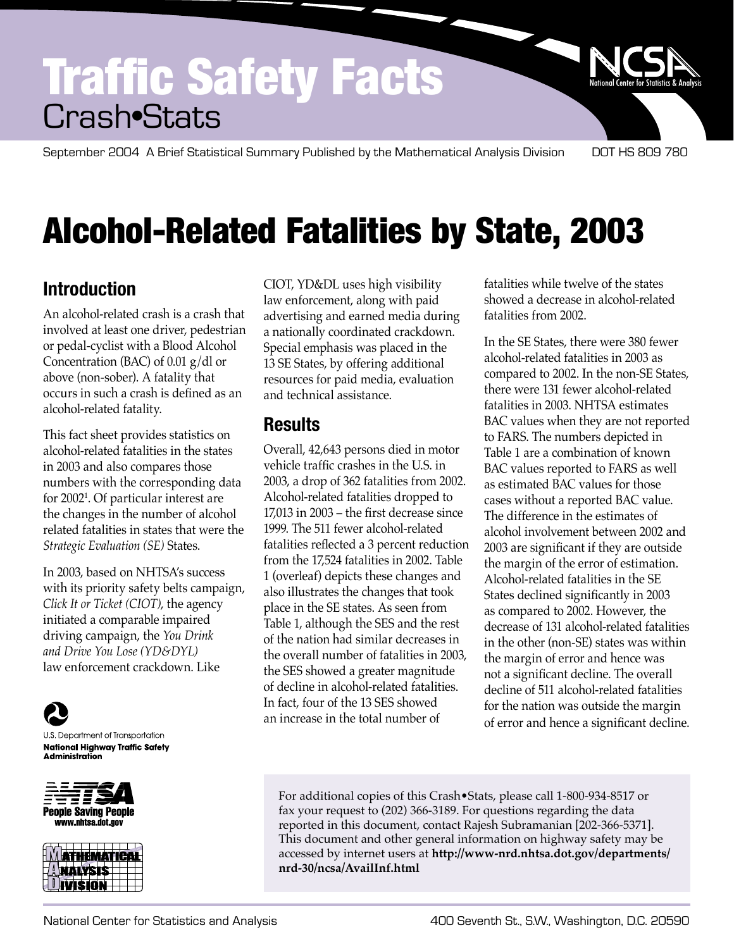## Traffic Safety Facts Crash•Stats

September 2004 A Brief Statistical Summary Published by the Mathematical Analysis Division DOT HS 809 780

## Alcohol-Related Fatalities by State, 2003

## **Introduction**

An alcohol-related crash is a crash that involved at least one driver, pedestrian or pedal-cyclist with a Blood Alcohol Concentration (BAC) of 0.01 g/dl or above (non-sober). A fatality that occurs in such a crash is defined as an alcohol-related fatality.

This fact sheet provides statistics on alcohol-related fatalities in the states in 2003 and also compares those numbers with the corresponding data for 2002<sup>1</sup>. Of particular interest are the changes in the number of alcohol related fatalities in states that were the *Strategic Evaluation (SE)* States.

In 2003, based on NHTSA's success with its priority safety belts campaign, *Click It or Ticket (CIOT)*, the agency initiated a comparable impaired driving campaign, the *You Drink and Drive You Lose (YD&DYL)*  law enforcement crackdown. Like

U.S. Department of Transportation **National Highway Traffic Safety** Administration





CIOT, YD&DL uses high visibility law enforcement, along with paid advertising and earned media during a nationally coordinated crackdown. Special emphasis was placed in the 13 SE States, by offering additional resources for paid media, evaluation and technical assistance.

## **Results**

Overall, 42,643 persons died in motor vehicle traffic crashes in the U.S. in 2003, a drop of 362 fatalities from 2002. Alcohol-related fatalities dropped to 17,013 in 2003 – the first decrease since 1999. The 511 fewer alcohol-related fatalities reflected a 3 percent reduction from the 17,524 fatalities in 2002. Table 1 (overleaf) depicts these changes and also illustrates the changes that took place in the SE states. As seen from Table 1, although the SES and the rest of the nation had similar decreases in the overall number of fatalities in 2003, the SES showed a greater magnitude of decline in alcohol-related fatalities. In fact, four of the 13 SES showed an increase in the total number of

fatalities while twelve of the states showed a decrease in alcohol-related fatalities from 2002.

In the SE States, there were 380 fewer alcohol-related fatalities in 2003 as compared to 2002. In the non-SE States, there were 131 fewer alcohol-related fatalities in 2003. NHTSA estimates BAC values when they are not reported to FARS. The numbers depicted in Table 1 are a combination of known BAC values reported to FARS as well as estimated BAC values for those cases without a reported BAC value. The difference in the estimates of alcohol involvement between 2002 and 2003 are significant if they are outside the margin of the error of estimation. Alcohol-related fatalities in the SE States declined significantly in 2003 as compared to 2002. However, the decrease of 131 alcohol-related fatalities in the other (non-SE) states was within the margin of error and hence was not a significant decline. The overall decline of 511 alcohol-related fatalities for the nation was outside the margin of error and hence a significant decline.

For additional copies of this Crash•Stats, please call 1-800-934-8517 or fax your request to (202) 366-3189. For questions regarding the data reported in this document, contact Rajesh Subramanian [202-366-5371]. This document and other general information on highway safety may be accessed by internet users at **http://www-nrd.nhtsa.dot.gov/departments/ nrd-30/ncsa/AvailInf.html**